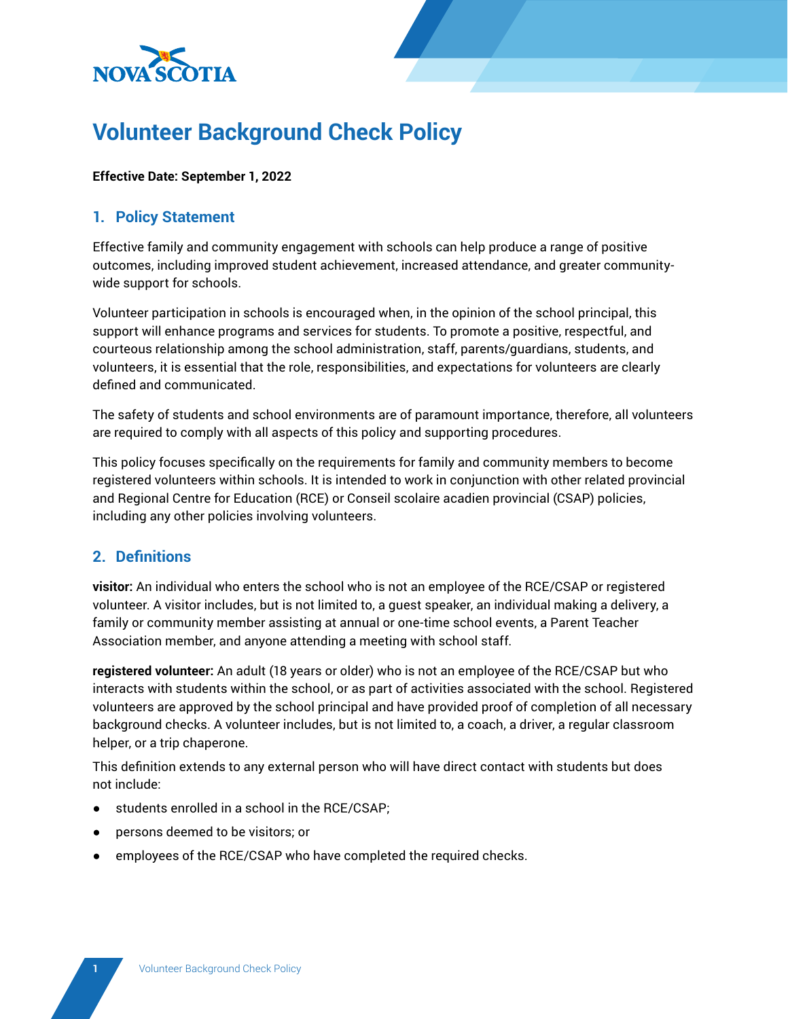

# **Volunteer Background Check Policy**

#### **Effective Date: September 1, 2022**

## **1. Policy Statement**

Effective family and community engagement with schools can help produce a range of positive outcomes, including improved student achievement, increased attendance, and greater communitywide support for schools.

Volunteer participation in schools is encouraged when, in the opinion of the school principal, this support will enhance programs and services for students. To promote a positive, respectful, and courteous relationship among the school administration, staff, parents/guardians, students, and volunteers, it is essential that the role, responsibilities, and expectations for volunteers are clearly defined and communicated.

The safety of students and school environments are of paramount importance, therefore, all volunteers are required to comply with all aspects of this policy and supporting procedures.

This policy focuses specifically on the requirements for family and community members to become registered volunteers within schools. It is intended to work in conjunction with other related provincial and Regional Centre for Education (RCE) or Conseil scolaire acadien provincial (CSAP) policies, including any other policies involving volunteers.

## **2. Definitions**

**visitor:** An individual who enters the school who is not an employee of the RCE/CSAP or registered volunteer. A visitor includes, but is not limited to, a guest speaker, an individual making a delivery, a family or community member assisting at annual or one-time school events, a Parent Teacher Association member, and anyone attending a meeting with school staff.

**registered volunteer:** An adult (18 years or older) who is not an employee of the RCE/CSAP but who interacts with students within the school, or as part of activities associated with the school. Registered volunteers are approved by the school principal and have provided proof of completion of all necessary background checks. A volunteer includes, but is not limited to, a coach, a driver, a regular classroom helper, or a trip chaperone.

This definition extends to any external person who will have direct contact with students but does not include:

- students enrolled in a school in the RCE/CSAP;
- persons deemed to be visitors; or
- employees of the RCE/CSAP who have completed the required checks.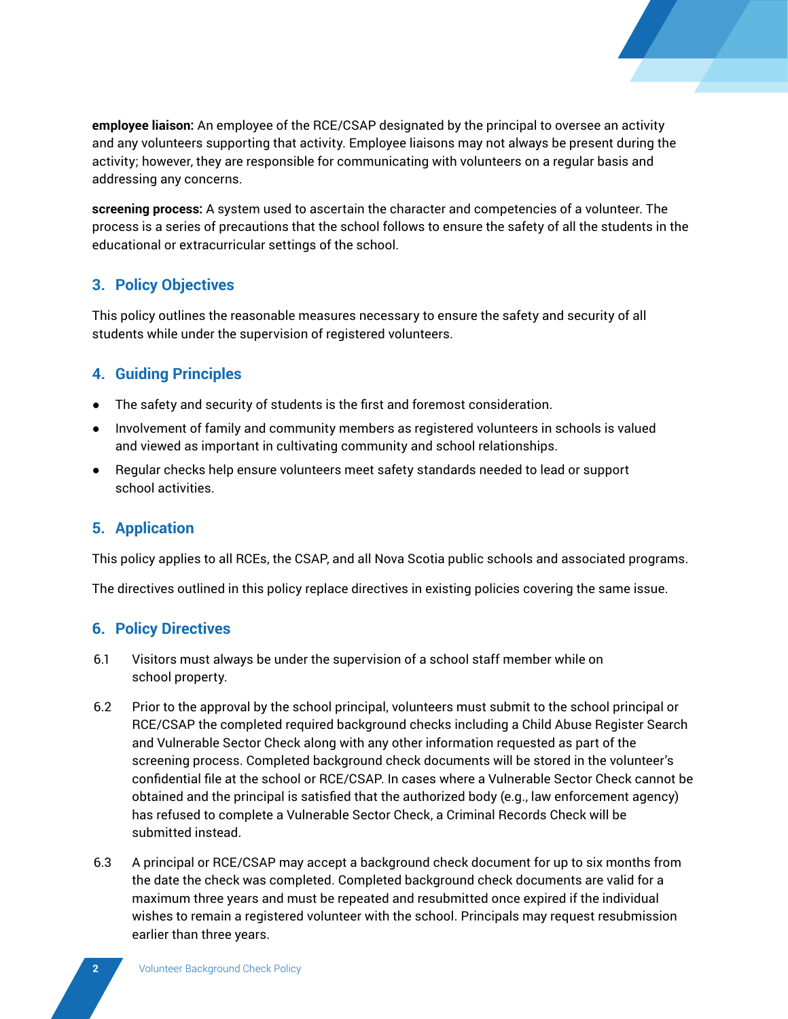

**employee liaison:** An employee of the RCE/CSAP designated by the principal to oversee an activity and any volunteers supporting that activity. Employee liaisons may not always be present during the activity; however, they are responsible for communicating with volunteers on a regular basis and addressing any concerns.

**screening process:** A system used to ascertain the character and competencies of a volunteer. The process is a series of precautions that the school follows to ensure the safety of all the students in the educational or extracurricular settings of the school.

# **3. Policy Objectives**

This policy outlines the reasonable measures necessary to ensure the safety and security of all students while under the supervision of registered volunteers.

# **4. Guiding Principles**

- The safety and security of students is the first and foremost consideration.
- Involvement of family and community members as registered volunteers in schools is valued and viewed as important in cultivating community and school relationships.
- Regular checks help ensure volunteers meet safety standards needed to lead or support school activities.

## **5. Application**

This policy applies to all RCEs, the CSAP, and all Nova Scotia public schools and associated programs.

The directives outlined in this policy replace directives in existing policies covering the same issue.

## **6. Policy Directives**

- 6.1 Visitors must always be under the supervision of a school staff member while on school property.
- 6.2 Prior to the approval by the school principal, volunteers must submit to the school principal or RCE/CSAP the completed required background checks including a Child Abuse Register Search and Vulnerable Sector Check along with any other information requested as part of the screening process. Completed background check documents will be stored in the volunteer's confidential file at the school or RCE/CSAP. In cases where a Vulnerable Sector Check cannot be obtained and the principal is satisfied that the authorized body (e.g., law enforcement agency) has refused to complete a Vulnerable Sector Check, a Criminal Records Check will be submitted instead.
- 6.3 A principal or RCE/CSAP may accept a background check document for up to six months from the date the check was completed. Completed background check documents are valid for a maximum three years and must be repeated and resubmitted once expired if the individual wishes to remain a registered volunteer with the school. Principals may request resubmission earlier than three years.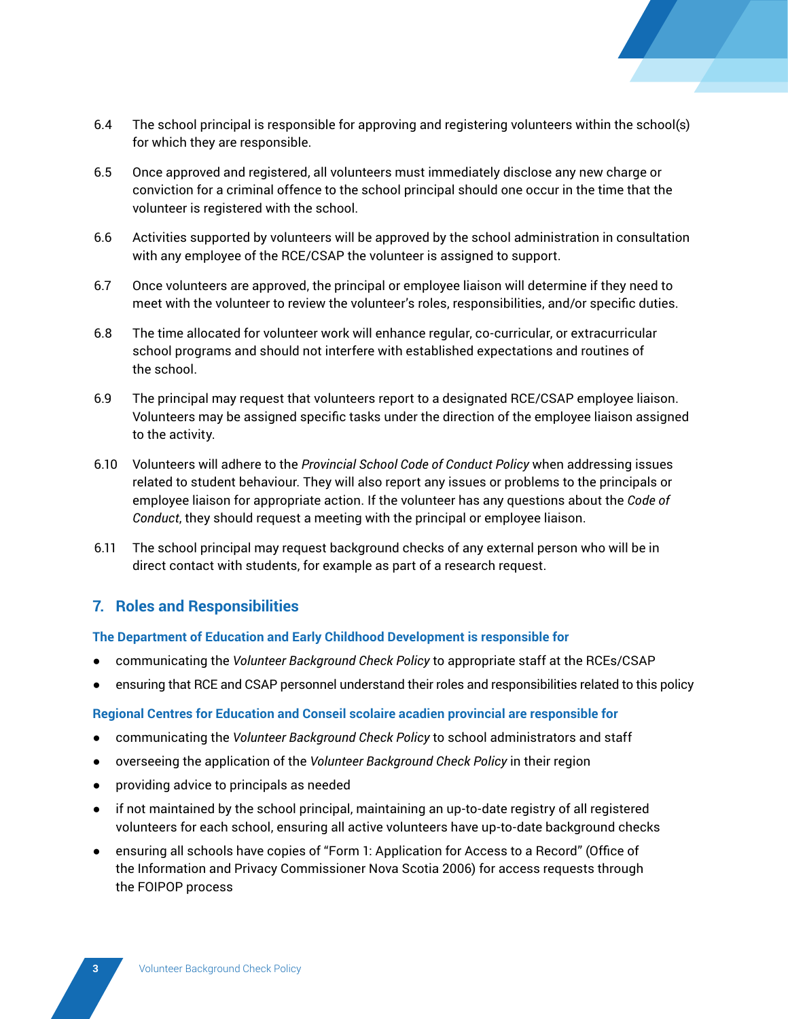- 
- 6.4 The school principal is responsible for approving and registering volunteers within the school(s) for which they are responsible.
- 6.5 Once approved and registered, all volunteers must immediately disclose any new charge or conviction for a criminal offence to the school principal should one occur in the time that the volunteer is registered with the school.
- 6.6 Activities supported by volunteers will be approved by the school administration in consultation with any employee of the RCE/CSAP the volunteer is assigned to support.
- 6.7 Once volunteers are approved, the principal or employee liaison will determine if they need to meet with the volunteer to review the volunteer's roles, responsibilities, and/or specific duties.
- 6.8 The time allocated for volunteer work will enhance regular, co-curricular, or extracurricular school programs and should not interfere with established expectations and routines of the school.
- 6.9 The principal may request that volunteers report to a designated RCE/CSAP employee liaison. Volunteers may be assigned specific tasks under the direction of the employee liaison assigned to the activity.
- 6.10 Volunteers will adhere to the *Provincial School Code of Conduct Policy* when addressing issues related to student behaviour. They will also report any issues or problems to the principals or employee liaison for appropriate action. If the volunteer has any questions about the *Code of Conduct*, they should request a meeting with the principal or employee liaison.
- 6.11 The school principal may request background checks of any external person who will be in direct contact with students, for example as part of a research request.

## **7. Roles and Responsibilities**

#### **The Department of Education and Early Childhood Development is responsible for**

- communicating the *Volunteer Background Check Policy* to appropriate staff at the RCEs/CSAP
- ensuring that RCE and CSAP personnel understand their roles and responsibilities related to this policy

## **Regional Centres for Education and Conseil scolaire acadien provincial are responsible for**

- communicating the *Volunteer Background Check Policy* to school administrators and staff
- overseeing the application of the *Volunteer Background Check Policy* in their region
- providing advice to principals as needed
- if not maintained by the school principal, maintaining an up-to-date registry of all registered volunteers for each school, ensuring all active volunteers have up-to-date background checks
- ensuring all schools have copies of "Form 1: Application for Access to a Record" (Office of the Information and Privacy Commissioner Nova Scotia 2006) for access requests through the FOIPOP process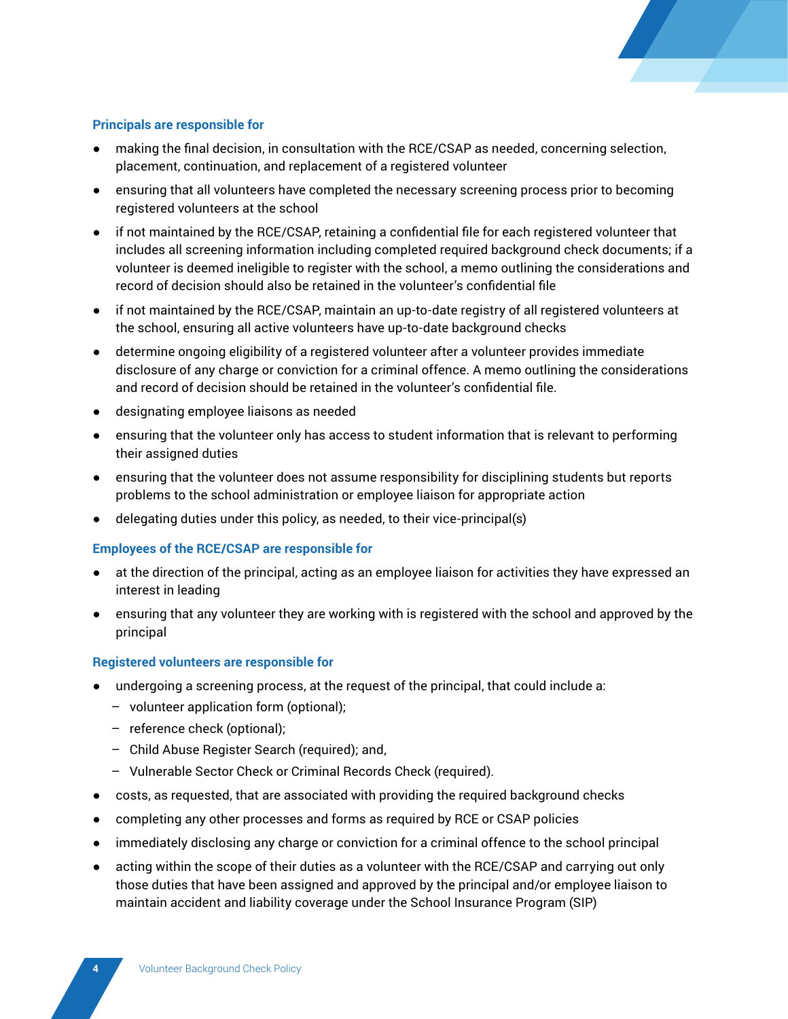

#### **Principals are responsible for**

- making the final decision, in consultation with the RCE/CSAP as needed, concerning selection, placement, continuation, and replacement of a registered volunteer
- ensuring that all volunteers have completed the necessary screening process prior to becoming registered volunteers at the school
- if not maintained by the RCE/CSAP, retaining a confidential file for each registered volunteer that includes all screening information including completed required background check documents; if a volunteer is deemed ineligible to register with the school, a memo outlining the considerations and record of decision should also be retained in the volunteer's confidential file
- if not maintained by the RCE/CSAP, maintain an up-to-date registry of all registered volunteers at the school, ensuring all active volunteers have up-to-date background checks
- determine ongoing eligibility of a registered volunteer after a volunteer provides immediate disclosure of any charge or conviction for a criminal offence. A memo outlining the considerations and record of decision should be retained in the volunteer's confidential file.
- designating employee liaisons as needed
- ensuring that the volunteer only has access to student information that is relevant to performing their assigned duties
- ensuring that the volunteer does not assume responsibility for disciplining students but reports problems to the school administration or employee liaison for appropriate action
- delegating duties under this policy, as needed, to their vice-principal(s)

#### **Employees of the RCE/CSAP are responsible for**

- at the direction of the principal, acting as an employee liaison for activities they have expressed an interest in leading
- ensuring that any volunteer they are working with is registered with the school and approved by the principal

#### **Registered volunteers are responsible for**

- undergoing a screening process, at the request of the principal, that could include a:
	- volunteer application form (optional);
	- reference check (optional);
	- Child Abuse Register Search (required); and,
	- Vulnerable Sector Check or Criminal Records Check (required).
- costs, as requested, that are associated with providing the required background checks
- completing any other processes and forms as required by RCE or CSAP policies
- immediately disclosing any charge or conviction for a criminal offence to the school principal
- acting within the scope of their duties as a volunteer with the RCE/CSAP and carrying out only those duties that have been assigned and approved by the principal and/or employee liaison to maintain accident and liability coverage under the School Insurance Program (SIP)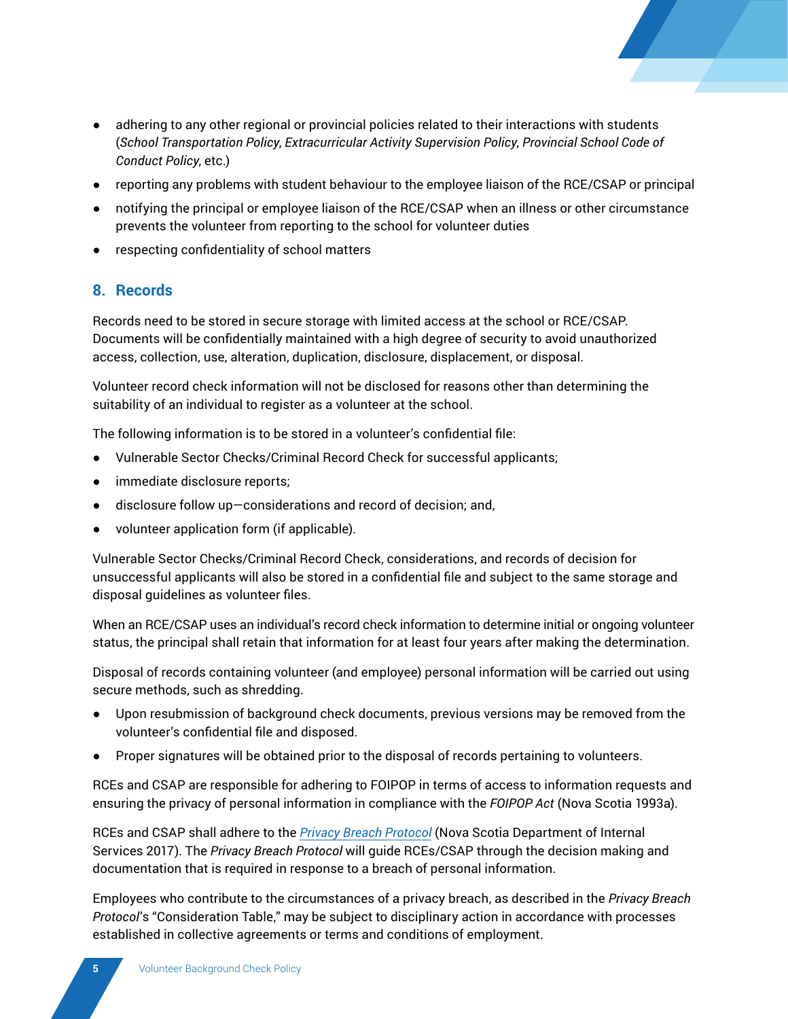

- adhering to any other regional or provincial policies related to their interactions with students (*School Transportation Policy*, *Extracurricular Activity Supervision Policy*, *Provincial School Code of Conduct Policy*, etc.)
- reporting any problems with student behaviour to the employee liaison of the RCE/CSAP or principal
- notifying the principal or employee liaison of the RCE/CSAP when an illness or other circumstance prevents the volunteer from reporting to the school for volunteer duties
- respecting confidentiality of school matters

## **8. Records**

Records need to be stored in secure storage with limited access at the school or RCE/CSAP. Documents will be confidentially maintained with a high degree of security to avoid unauthorized access, collection, use, alteration, duplication, disclosure, displacement, or disposal.

Volunteer record check information will not be disclosed for reasons other than determining the suitability of an individual to register as a volunteer at the school.

The following information is to be stored in a volunteer's confidential file:

- Vulnerable Sector Checks/Criminal Record Check for successful applicants;
- immediate disclosure reports;
- disclosure follow up—considerations and record of decision; and,
- volunteer application form (if applicable).

Vulnerable Sector Checks/Criminal Record Check, considerations, and records of decision for unsuccessful applicants will also be stored in a confidential file and subject to the same storage and disposal guidelines as volunteer files.

When an RCE/CSAP uses an individual's record check information to determine initial or ongoing volunteer status, the principal shall retain that information for at least four years after making the determination.

Disposal of records containing volunteer (and employee) personal information will be carried out using secure methods, such as shredding.

- Upon resubmission of background check documents, previous versions may be removed from the volunteer's confidential file and disposed.
- Proper signatures will be obtained prior to the disposal of records pertaining to volunteers.

RCEs and CSAP are responsible for adhering to FOIPOP in terms of access to information requests and ensuring the privacy of personal information in compliance with the *FOIPOP Act* (Nova Scotia 1993a).

RCEs and CSAP shall adhere to the *[Privacy Breach Protocol](https://beta.novascotia.ca/sites/default/files/documents/1-1132/managing-privacy-breach-protocol-and-forms-en.pdf)* (Nova Scotia Department of Internal Services 2017). The *Privacy Breach Protocol* will guide RCEs/CSAP through the decision making and documentation that is required in response to a breach of personal information.

Employees who contribute to the circumstances of a privacy breach, as described in the *Privacy Breach Protocol*'s "Consideration Table," may be subject to disciplinary action in accordance with processes established in collective agreements or terms and conditions of employment.